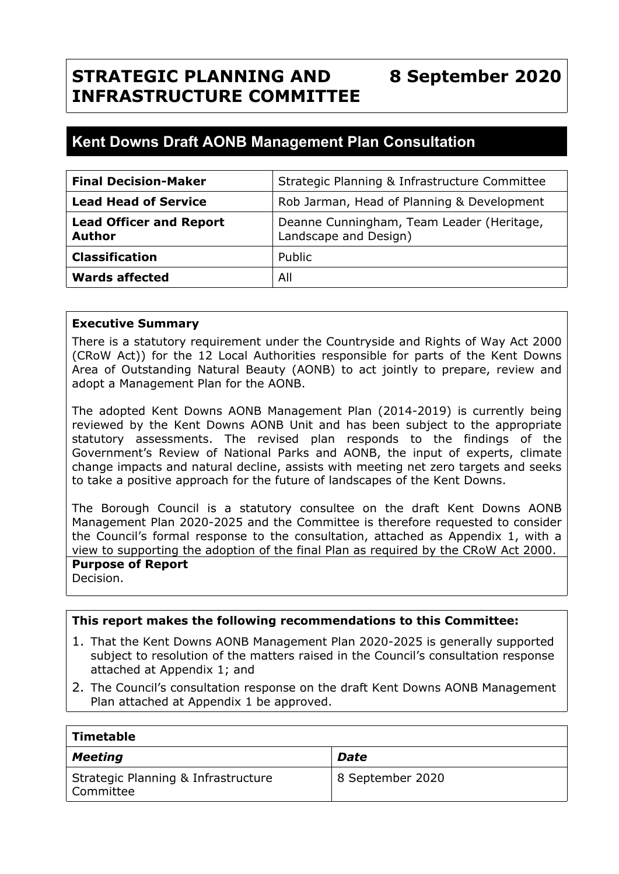## **STRATEGIC PLANNING AND INFRASTRUCTURE COMMITTEE 8 September 2020**

# **Kent Downs Draft AONB Management Plan Consultation**

| <b>Final Decision-Maker</b>                     | Strategic Planning & Infrastructure Committee                      |
|-------------------------------------------------|--------------------------------------------------------------------|
| <b>Lead Head of Service</b>                     | Rob Jarman, Head of Planning & Development                         |
| <b>Lead Officer and Report</b><br><b>Author</b> | Deanne Cunningham, Team Leader (Heritage,<br>Landscape and Design) |
| <b>Classification</b>                           | Public                                                             |
| <b>Wards affected</b>                           | All                                                                |

### **Executive Summary**

There is a statutory requirement under the Countryside and Rights of Way Act 2000 (CRoW Act)) for the 12 Local Authorities responsible for parts of the Kent Downs Area of Outstanding Natural Beauty (AONB) to act jointly to prepare, review and adopt a Management Plan for the AONB.

The adopted Kent Downs AONB Management Plan (2014-2019) is currently being reviewed by the Kent Downs AONB Unit and has been subject to the appropriate statutory assessments. The revised plan responds to the findings of the Government's Review of National Parks and AONB, the input of experts, climate change impacts and natural decline, assists with meeting net zero targets and seeks to take a positive approach for the future of landscapes of the Kent Downs.

The Borough Council is a statutory consultee on the draft Kent Downs AONB Management Plan 2020-2025 and the Committee is therefore requested to consider the Council's formal response to the consultation, attached as Appendix 1, with a view to supporting the adoption of the final Plan as required by the CRoW Act 2000.

# **Purpose of Report**

Decision.

### **This report makes the following recommendations to this Committee:**

- 1. That the Kent Downs AONB Management Plan 2020-2025 is generally supported subject to resolution of the matters raised in the Council's consultation response attached at Appendix 1; and
- 2. The Council's consultation response on the draft Kent Downs AONB Management Plan attached at Appendix 1 be approved.

| Timetable                                        |                  |  |  |  |
|--------------------------------------------------|------------------|--|--|--|
| Meeting                                          | Date             |  |  |  |
| Strategic Planning & Infrastructure<br>Committee | 8 September 2020 |  |  |  |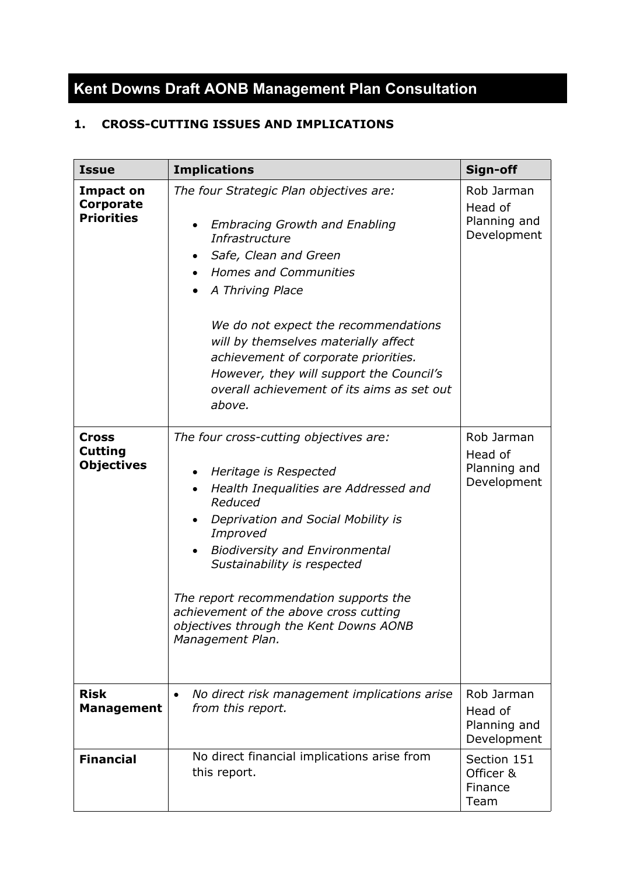# **Kent Downs Draft AONB Management Plan Consultation**

# **1. CROSS-CUTTING ISSUES AND IMPLICATIONS**

| <b>Issue</b>                                        | <b>Implications</b>                                                                                                                                                                                                                                                                                                                                                                                                          | Sign-off                                             |
|-----------------------------------------------------|------------------------------------------------------------------------------------------------------------------------------------------------------------------------------------------------------------------------------------------------------------------------------------------------------------------------------------------------------------------------------------------------------------------------------|------------------------------------------------------|
| <b>Impact on</b><br>Corporate<br><b>Priorities</b>  | The four Strategic Plan objectives are:<br><b>Embracing Growth and Enabling</b><br>Infrastructure<br>Safe, Clean and Green<br>٠<br><b>Homes and Communities</b><br>$\bullet$<br>A Thriving Place<br>We do not expect the recommendations<br>will by themselves materially affect<br>achievement of corporate priorities.<br>However, they will support the Council's<br>overall achievement of its aims as set out<br>above. | Rob Jarman<br>Head of<br>Planning and<br>Development |
| <b>Cross</b><br><b>Cutting</b><br><b>Objectives</b> | The four cross-cutting objectives are:<br>Heritage is Respected<br>$\bullet$<br>Health Inequalities are Addressed and<br>Reduced<br>Deprivation and Social Mobility is<br>Improved<br><b>Biodiversity and Environmental</b><br>Sustainability is respected<br>The report recommendation supports the<br>achievement of the above cross cutting<br>objectives through the Kent Downs AONB<br>Management Plan.                 | Rob Jarman<br>Head of<br>Planning and<br>Development |
| <b>Risk</b><br><b>Management</b>                    | No direct risk management implications arise<br>from this report.                                                                                                                                                                                                                                                                                                                                                            | Rob Jarman<br>Head of<br>Planning and<br>Development |
| <b>Financial</b>                                    | No direct financial implications arise from<br>this report.                                                                                                                                                                                                                                                                                                                                                                  | Section 151<br>Officer &<br>Finance<br>Team          |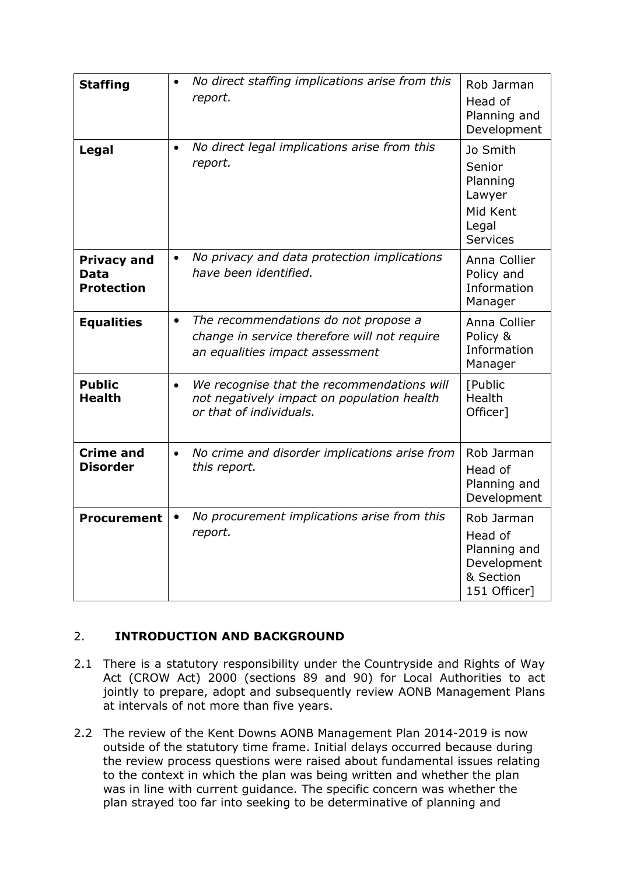| <b>Staffing</b>                                        | No direct staffing implications arise from this<br>$\bullet$<br>report.                                                              | Rob Jarman<br>Head of<br>Planning and<br>Development                              |
|--------------------------------------------------------|--------------------------------------------------------------------------------------------------------------------------------------|-----------------------------------------------------------------------------------|
| Legal                                                  | No direct legal implications arise from this<br>$\bullet$<br>report.                                                                 | Jo Smith<br>Senior<br>Planning<br>Lawyer<br>Mid Kent<br>Legal<br><b>Services</b>  |
| <b>Privacy and</b><br><b>Data</b><br><b>Protection</b> | No privacy and data protection implications<br>$\bullet$<br>have been identified.                                                    | Anna Collier<br>Policy and<br>Information<br>Manager                              |
| <b>Equalities</b>                                      | The recommendations do not propose a<br>$\bullet$<br>change in service therefore will not require<br>an equalities impact assessment | Anna Collier<br>Policy &<br>Information<br>Manager                                |
| <b>Public</b><br><b>Health</b>                         | We recognise that the recommendations will<br>$\bullet$<br>not negatively impact on population health<br>or that of individuals.     | [Public<br>Health<br>Officer]                                                     |
| <b>Crime and</b><br><b>Disorder</b>                    | No crime and disorder implications arise from<br>$\bullet$<br>this report.                                                           | Rob Jarman<br>Head of<br>Planning and<br>Development                              |
| <b>Procurement</b>                                     | No procurement implications arise from this<br>report.                                                                               | Rob Jarman<br>Head of<br>Planning and<br>Development<br>& Section<br>151 Officer] |

# 2. **INTRODUCTION AND BACKGROUND**

- 2.1 There is a statutory responsibility under the Countryside and Rights of Way Act (CROW Act) 2000 (sections 89 and 90) for Local Authorities to act jointly to prepare, adopt and subsequently review AONB Management Plans at intervals of not more than five years.
- 2.2 The review of the Kent Downs AONB Management Plan 2014-2019 is now outside of the statutory time frame. Initial delays occurred because during the review process questions were raised about fundamental issues relating to the context in which the plan was being written and whether the plan was in line with current guidance. The specific concern was whether the plan strayed too far into seeking to be determinative of planning and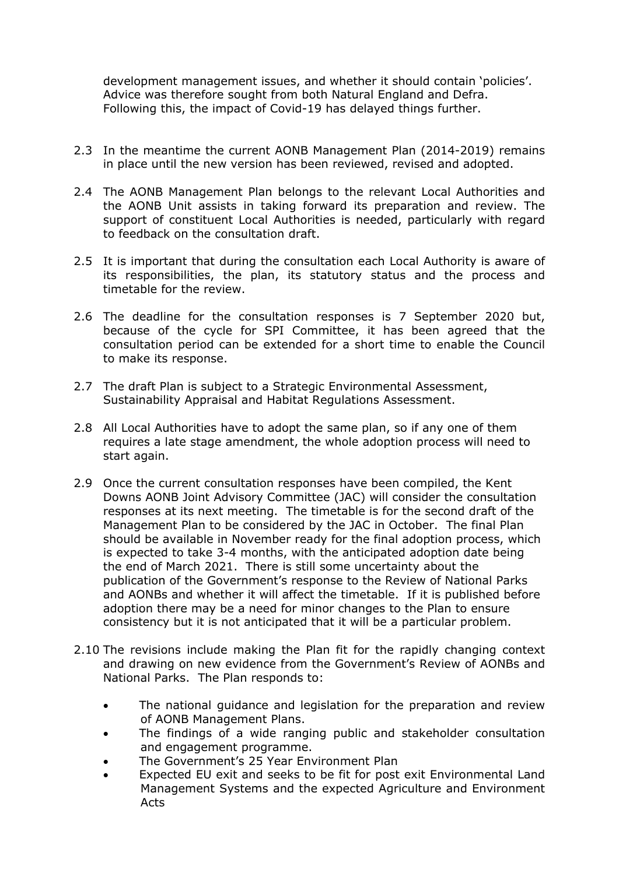development management issues, and whether it should contain 'policies'. Advice was therefore sought from both Natural England and Defra. Following this, the impact of Covid-19 has delayed things further.

- 2.3 In the meantime the current AONB Management Plan (2014-2019) remains in place until the new version has been reviewed, revised and adopted.
- 2.4 The AONB Management Plan belongs to the relevant Local Authorities and the AONB Unit assists in taking forward its preparation and review. The support of constituent Local Authorities is needed, particularly with regard to feedback on the consultation draft.
- 2.5 It is important that during the consultation each Local Authority is aware of its responsibilities, the plan, its statutory status and the process and timetable for the review.
- 2.6 The deadline for the consultation responses is 7 September 2020 but, because of the cycle for SPI Committee, it has been agreed that the consultation period can be extended for a short time to enable the Council to make its response.
- 2.7 The draft Plan is subject to a Strategic Environmental Assessment, Sustainability Appraisal and Habitat Regulations Assessment.
- 2.8 All Local Authorities have to adopt the same plan, so if any one of them requires a late stage amendment, the whole adoption process will need to start again.
- 2.9 Once the current consultation responses have been compiled, the Kent Downs AONB Joint Advisory Committee (JAC) will consider the consultation responses at its next meeting. The timetable is for the second draft of the Management Plan to be considered by the JAC in October. The final Plan should be available in November ready for the final adoption process, which is expected to take 3-4 months, with the anticipated adoption date being the end of March 2021. There is still some uncertainty about the publication of the Government's response to the Review of National Parks and AONBs and whether it will affect the timetable. If it is published before adoption there may be a need for minor changes to the Plan to ensure consistency but it is not anticipated that it will be a particular problem.
- 2.10 The revisions include making the Plan fit for the rapidly changing context and drawing on new evidence from the Government's Review of AONBs and National Parks. The Plan responds to:
	- The national guidance and legislation for the preparation and review of AONB Management Plans.
	- The findings of a wide ranging public and stakeholder consultation and engagement programme.
	- The Government's 25 Year Environment Plan
	- Expected EU exit and seeks to be fit for post exit Environmental Land Management Systems and the expected Agriculture and Environment Acts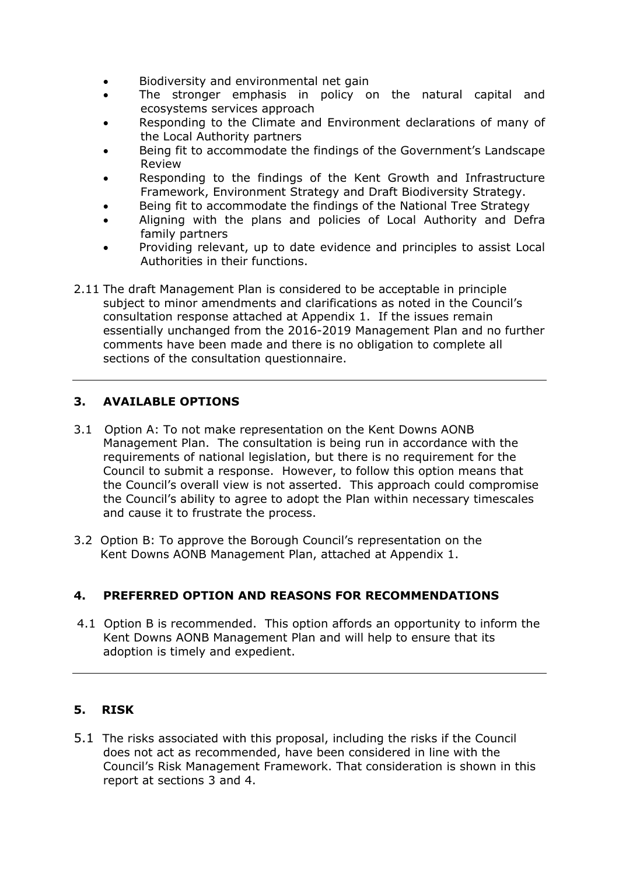- Biodiversity and environmental net gain
- The stronger emphasis in policy on the natural capital and ecosystems services approach
- Responding to the Climate and Environment declarations of many of the Local Authority partners
- Being fit to accommodate the findings of the Government's Landscape Review
- Responding to the findings of the Kent Growth and Infrastructure Framework, Environment Strategy and Draft Biodiversity Strategy.
- Being fit to accommodate the findings of the National Tree Strategy
- Aligning with the plans and policies of Local Authority and Defra family partners
- Providing relevant, up to date evidence and principles to assist Local Authorities in their functions.
- 2.11 The draft Management Plan is considered to be acceptable in principle subject to minor amendments and clarifications as noted in the Council's consultation response attached at Appendix 1. If the issues remain essentially unchanged from the 2016-2019 Management Plan and no further comments have been made and there is no obligation to complete all sections of the consultation questionnaire.

# **3. AVAILABLE OPTIONS**

- 3.1 Option A: To not make representation on the Kent Downs AONB Management Plan. The consultation is being run in accordance with the requirements of national legislation, but there is no requirement for the Council to submit a response. However, to follow this option means that the Council's overall view is not asserted. This approach could compromise the Council's ability to agree to adopt the Plan within necessary timescales and cause it to frustrate the process.
- 3.2 Option B: To approve the Borough Council's representation on the Kent Downs AONB Management Plan, attached at Appendix 1.

### **4. PREFERRED OPTION AND REASONS FOR RECOMMENDATIONS**

4.1 Option B is recommended. This option affords an opportunity to inform the Kent Downs AONB Management Plan and will help to ensure that its adoption is timely and expedient.

### **5. RISK**

5.1 The risks associated with this proposal, including the risks if the Council does not act as recommended, have been considered in line with the Council's Risk Management Framework. That consideration is shown in this report at sections 3 and 4.